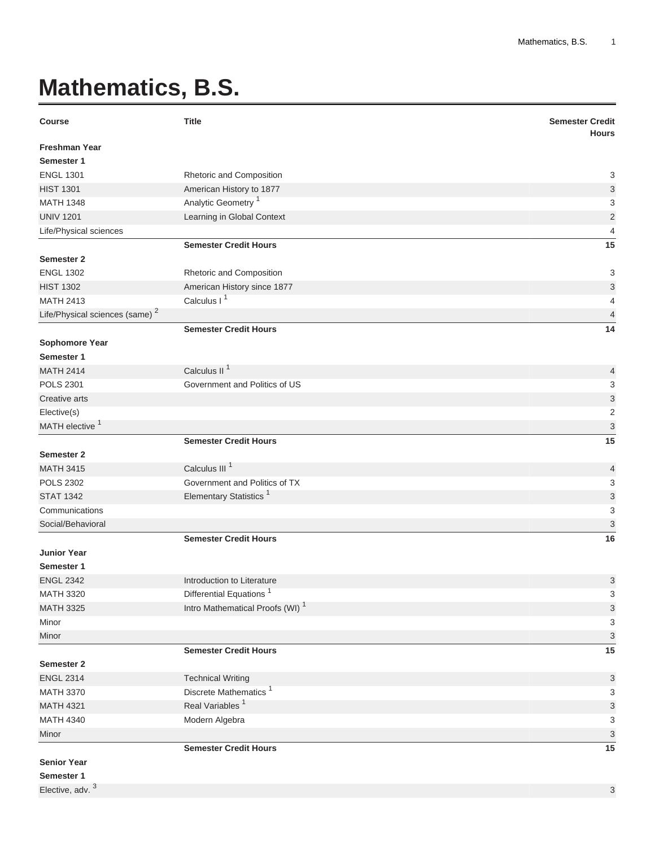## **Mathematics, B.S.**

| <b>Course</b>                              | <b>Title</b>                                | <b>Semester Credit</b><br><b>Hours</b> |
|--------------------------------------------|---------------------------------------------|----------------------------------------|
| <b>Freshman Year</b>                       |                                             |                                        |
| Semester 1                                 |                                             |                                        |
| <b>ENGL 1301</b>                           | Rhetoric and Composition                    | 3                                      |
| <b>HIST 1301</b>                           | American History to 1877                    | 3                                      |
| <b>MATH 1348</b>                           | Analytic Geometry <sup>1</sup>              | 3                                      |
| <b>UNIV 1201</b>                           | Learning in Global Context                  | $\overline{2}$                         |
| Life/Physical sciences                     |                                             | $\overline{4}$                         |
|                                            | <b>Semester Credit Hours</b>                | 15                                     |
| Semester 2                                 |                                             |                                        |
| <b>ENGL 1302</b>                           | Rhetoric and Composition                    | 3                                      |
| <b>HIST 1302</b>                           | American History since 1877                 | 3                                      |
| <b>MATH 2413</b>                           | Calculus I <sup>1</sup>                     | 4                                      |
| Life/Physical sciences (same) <sup>2</sup> |                                             | 4                                      |
|                                            | <b>Semester Credit Hours</b>                | 14                                     |
| Sophomore Year                             |                                             |                                        |
| Semester 1                                 |                                             |                                        |
| <b>MATH 2414</b>                           | Calculus II <sup>1</sup>                    | 4                                      |
| <b>POLS 2301</b>                           | Government and Politics of US               | 3                                      |
| Creative arts                              |                                             | $\ensuremath{\mathsf{3}}$              |
| Elective(s)                                |                                             | $\overline{2}$                         |
| MATH elective <sup>1</sup>                 |                                             | 3                                      |
|                                            | <b>Semester Credit Hours</b>                | 15                                     |
| Semester 2                                 |                                             |                                        |
| <b>MATH 3415</b>                           | Calculus III <sup>1</sup>                   | $\overline{4}$                         |
| <b>POLS 2302</b>                           | Government and Politics of TX               | 3                                      |
| <b>STAT 1342</b>                           | Elementary Statistics <sup>1</sup>          | $\ensuremath{\mathsf{3}}$              |
| Communications                             |                                             | 3                                      |
| Social/Behavioral                          |                                             | 3                                      |
|                                            | <b>Semester Credit Hours</b>                | 16                                     |
| <b>Junior Year</b>                         |                                             |                                        |
| Semester 1                                 |                                             |                                        |
| <b>ENGL 2342</b>                           | Introduction to Literature                  | 3                                      |
| <b>MATH 3320</b>                           | <b>Differential Equations</b>               | $\ensuremath{\mathsf{3}}$              |
| <b>MATH 3325</b>                           | Intro Mathematical Proofs (WI) <sup>1</sup> | $\sqrt{3}$                             |
| Minor                                      |                                             | $\ensuremath{\mathsf{3}}$              |
| Minor                                      |                                             | $\ensuremath{\mathsf{3}}$              |
|                                            | <b>Semester Credit Hours</b>                | 15                                     |
| Semester 2                                 |                                             |                                        |
| <b>ENGL 2314</b>                           | <b>Technical Writing</b>                    | 3                                      |
| <b>MATH 3370</b>                           | Discrete Mathematics <sup>1</sup>           | 3                                      |
| <b>MATH 4321</b>                           | Real Variables <sup>1</sup>                 | 3                                      |
| <b>MATH 4340</b>                           | Modern Algebra                              | 3                                      |
| Minor                                      |                                             | 3                                      |
|                                            | <b>Semester Credit Hours</b>                | 15                                     |
| <b>Senior Year</b>                         |                                             |                                        |
| Semester 1                                 |                                             |                                        |
| Elective, adv. <sup>3</sup>                |                                             | 3                                      |

3